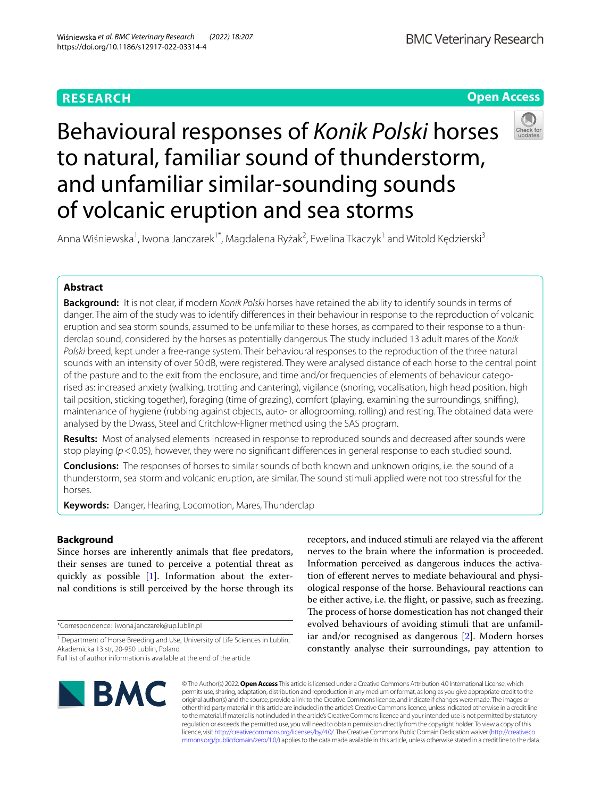# **RESEARCH**

**Open Access**

# Behavioural responses of *Konik Polski* horses to natural, familiar sound of thunderstorm, and unfamiliar similar-sounding sounds of volcanic eruption and sea storms



Anna Wiśniewska<sup>1</sup>, Iwona Janczarek<sup>1\*</sup>, Magdalena Ryżak<sup>2</sup>, Ewelina Tkaczyk<sup>1</sup> and Witold Kędzierski<sup>3</sup>

# **Abstract**

**Background:** It is not clear, if modern *Konik Polski* horses have retained the ability to identify sounds in terms of danger. The aim of the study was to identify diferences in their behaviour in response to the reproduction of volcanic eruption and sea storm sounds, assumed to be unfamiliar to these horses, as compared to their response to a thunderclap sound, considered by the horses as potentially dangerous. The study included 13 adult mares of the *Konik Polski* breed, kept under a free-range system. Their behavioural responses to the reproduction of the three natural sounds with an intensity of over 50dB, were registered. They were analysed distance of each horse to the central point of the pasture and to the exit from the enclosure, and time and/or frequencies of elements of behaviour categorised as: increased anxiety (walking, trotting and cantering), vigilance (snoring, vocalisation, high head position, high tail position, sticking together), foraging (time of grazing), comfort (playing, examining the surroundings, snifng), maintenance of hygiene (rubbing against objects, auto- or allogrooming, rolling) and resting. The obtained data were analysed by the Dwass, Steel and Critchlow-Fligner method using the SAS program.

**Results:** Most of analysed elements increased in response to reproduced sounds and decreased after sounds were stop playing ( $p$ <0.05), however, they were no significant differences in general response to each studied sound.

**Conclusions:** The responses of horses to similar sounds of both known and unknown origins, i.e. the sound of a thunderstorm, sea storm and volcanic eruption, are similar. The sound stimuli applied were not too stressful for the horses.

**Keywords:** Danger, Hearing, Locomotion, Mares, Thunderclap

# **Background**

Since horses are inherently animals that fee predators, their senses are tuned to perceive a potential threat as quickly as possible [[1\]](#page-10-0). Information about the external conditions is still perceived by the horse through its

\*Correspondence: iwona.janczarek@up.lublin.pl

receptors, and induced stimuli are relayed via the aferent nerves to the brain where the information is proceeded. Information perceived as dangerous induces the activation of eferent nerves to mediate behavioural and physiological response of the horse. Behavioural reactions can be either active, i.e. the fight, or passive, such as freezing. The process of horse domestication has not changed their evolved behaviours of avoiding stimuli that are unfamiliar and/or recognised as dangerous [[2\]](#page-10-1). Modern horses constantly analyse their surroundings, pay attention to



© The Author(s) 2022. **Open Access** This article is licensed under a Creative Commons Attribution 4.0 International License, which permits use, sharing, adaptation, distribution and reproduction in any medium or format, as long as you give appropriate credit to the original author(s) and the source, provide a link to the Creative Commons licence, and indicate if changes were made. The images or other third party material in this article are included in the article's Creative Commons licence, unless indicated otherwise in a credit line to the material. If material is not included in the article's Creative Commons licence and your intended use is not permitted by statutory regulation or exceeds the permitted use, you will need to obtain permission directly from the copyright holder. To view a copy of this licence, visit [http://creativecommons.org/licenses/by/4.0/.](http://creativecommons.org/licenses/by/4.0/) The Creative Commons Public Domain Dedication waiver ([http://creativeco](http://creativecommons.org/publicdomain/zero/1.0/) [mmons.org/publicdomain/zero/1.0/](http://creativecommons.org/publicdomain/zero/1.0/)) applies to the data made available in this article, unless otherwise stated in a credit line to the data.

<sup>&</sup>lt;sup>1</sup> Department of Horse Breeding and Use, University of Life Sciences in Lublin, Akademicka 13 str, 20-950 Lublin, Poland

Full list of author information is available at the end of the article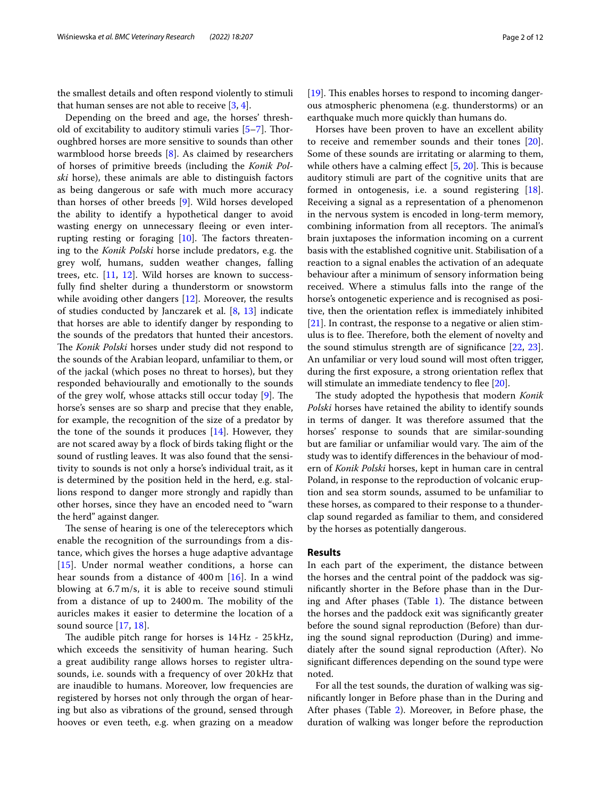the smallest details and often respond violently to stimuli that human senses are not able to receive [\[3](#page-10-2), [4\]](#page-10-3).

Depending on the breed and age, the horses' threshold of excitability to auditory stimuli varies [[5–](#page-10-4)[7\]](#page-10-5). Toroughbred horses are more sensitive to sounds than other warmblood horse breeds [\[8](#page-10-6)]. As claimed by researchers of horses of primitive breeds (including the *Konik Polski* horse), these animals are able to distinguish factors as being dangerous or safe with much more accuracy than horses of other breeds [[9\]](#page-10-7). Wild horses developed the ability to identify a hypothetical danger to avoid wasting energy on unnecessary fleeing or even interrupting resting or foraging  $[10]$ . The factors threatening to the *Konik Polski* horse include predators, e.g. the grey wolf, humans, sudden weather changes, falling trees, etc. [\[11,](#page-10-9) [12](#page-10-10)]. Wild horses are known to successfully fnd shelter during a thunderstorm or snowstorm while avoiding other dangers [\[12](#page-10-10)]. Moreover, the results of studies conducted by Janczarek et al. [[8,](#page-10-6) [13](#page-10-11)] indicate that horses are able to identify danger by responding to the sounds of the predators that hunted their ancestors. The *Konik Polski* horses under study did not respond to the sounds of the Arabian leopard, unfamiliar to them, or of the jackal (which poses no threat to horses), but they responded behaviourally and emotionally to the sounds of the grey wolf, whose attacks still occur today  $[9]$  $[9]$ . The horse's senses are so sharp and precise that they enable, for example, the recognition of the size of a predator by the tone of the sounds it produces  $[14]$  $[14]$ . However, they are not scared away by a fock of birds taking fight or the sound of rustling leaves. It was also found that the sensitivity to sounds is not only a horse's individual trait, as it is determined by the position held in the herd, e.g. stallions respond to danger more strongly and rapidly than other horses, since they have an encoded need to "warn the herd" against danger.

The sense of hearing is one of the telereceptors which enable the recognition of the surroundings from a distance, which gives the horses a huge adaptive advantage [[15](#page-10-13)]. Under normal weather conditions, a horse can hear sounds from a distance of 400 m [[16\]](#page-10-14). In a wind blowing at 6.7 m/s, it is able to receive sound stimuli from a distance of up to 2400 m. The mobility of the auricles makes it easier to determine the location of a sound source [[17,](#page-10-15) [18\]](#page-10-16).

The audible pitch range for horses is  $14\,\text{Hz}$  -  $25\,\text{kHz}$ , which exceeds the sensitivity of human hearing. Such a great audibility range allows horses to register ultrasounds, i.e. sounds with a frequency of over 20 kHz that are inaudible to humans. Moreover, low frequencies are registered by horses not only through the organ of hearing but also as vibrations of the ground, sensed through hooves or even teeth, e.g. when grazing on a meadow  $[19]$  $[19]$ . This enables horses to respond to incoming dangerous atmospheric phenomena (e.g. thunderstorms) or an earthquake much more quickly than humans do.

Horses have been proven to have an excellent ability to receive and remember sounds and their tones [\[20](#page-10-18)]. Some of these sounds are irritating or alarming to them, while others have a calming effect  $[5, 20]$  $[5, 20]$  $[5, 20]$  $[5, 20]$ . This is because auditory stimuli are part of the cognitive units that are formed in ontogenesis, i.e. a sound registering [\[18](#page-10-16)]. Receiving a signal as a representation of a phenomenon in the nervous system is encoded in long-term memory, combining information from all receptors. The animal's brain juxtaposes the information incoming on a current basis with the established cognitive unit. Stabilisation of a reaction to a signal enables the activation of an adequate behaviour after a minimum of sensory information being received. Where a stimulus falls into the range of the horse's ontogenetic experience and is recognised as positive, then the orientation reflex is immediately inhibited [[21\]](#page-10-19). In contrast, the response to a negative or alien stimulus is to flee. Therefore, both the element of novelty and the sound stimulus strength are of signifcance [[22,](#page-10-20) [23](#page-10-21)]. An unfamiliar or very loud sound will most often trigger, during the first exposure, a strong orientation reflex that will stimulate an immediate tendency to flee  $[20]$  $[20]$ .

The study adopted the hypothesis that modern *Konik Polski* horses have retained the ability to identify sounds in terms of danger. It was therefore assumed that the horses' response to sounds that are similar-sounding but are familiar or unfamiliar would vary. The aim of the study was to identify diferences in the behaviour of modern of *Konik Polski* horses, kept in human care in central Poland, in response to the reproduction of volcanic eruption and sea storm sounds, assumed to be unfamiliar to these horses, as compared to their response to a thunderclap sound regarded as familiar to them, and considered by the horses as potentially dangerous.

#### **Results**

In each part of the experiment, the distance between the horses and the central point of the paddock was signifcantly shorter in the Before phase than in the During and After phases (Table  $1$ ). The distance between the horses and the paddock exit was signifcantly greater before the sound signal reproduction (Before) than during the sound signal reproduction (During) and immediately after the sound signal reproduction (After). No signifcant diferences depending on the sound type were noted.

For all the test sounds, the duration of walking was signifcantly longer in Before phase than in the During and After phases (Table [2\)](#page-2-1). Moreover, in Before phase, the duration of walking was longer before the reproduction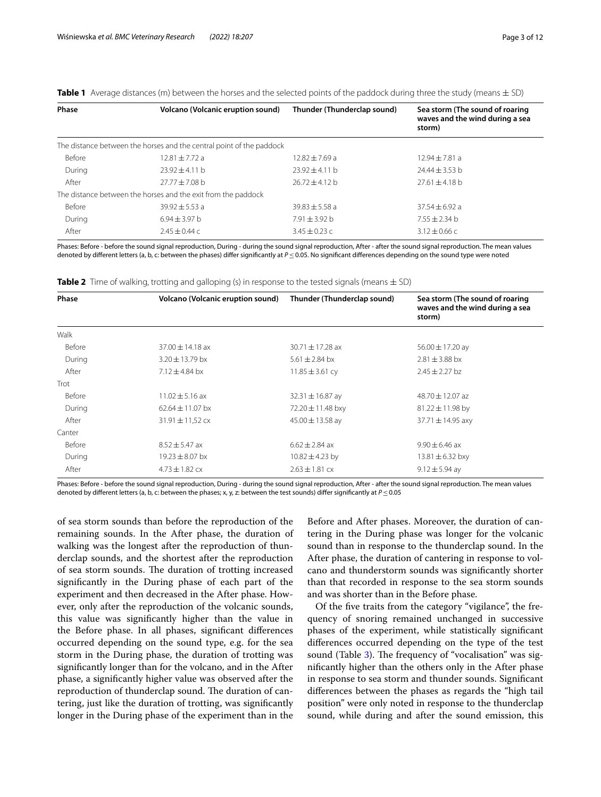| <b>Phase</b> | <b>Volcano (Volcanic eruption sound)</b>                             | Thunder (Thunderclap sound) | Sea storm (The sound of roaring<br>waves and the wind during a sea<br>storm) |
|--------------|----------------------------------------------------------------------|-----------------------------|------------------------------------------------------------------------------|
|              | The distance between the horses and the central point of the paddock |                             |                                                                              |
| Before       | $12.81 + 7.72a$                                                      | $12.82 + 7.69$ a            | $12.94 + 7.81$ a                                                             |
| During       | $23.92 + 4.11 h$                                                     | $23.92 + 4.11$ b            | $74.44 + 3.53$ b                                                             |
| After        | $27.77 + 7.08$ b                                                     | $26.72 + 4.12$ b            | $27.61 + 4.18$ b                                                             |
|              | The distance between the horses and the exit from the paddock        |                             |                                                                              |
| Before       | $39.92 + 5.53$ a                                                     | $39.83 + 5.58$ a            | $37.54 + 6.92$ a                                                             |
| During       | $6.94 \pm 3.97$ b                                                    | $7.91 + 3.92$ b             | $7.55 \pm 2.34$ b                                                            |
| After        | $7.45 + 0.44c$                                                       | $3.45 \pm 0.23$ c           | $3.12 \pm 0.66$ C                                                            |

<span id="page-2-0"></span>**Table 1** Average distances (m) between the horses and the selected points of the paddock during three the study (means ± SD)

Phases: Before - before the sound signal reproduction, During - during the sound signal reproduction, After - after the sound signal reproduction. The mean values denoted by diferent letters (a, b, c: between the phases) difer signifcantly at *P*≤0.05. No signifcant diferences depending on the sound type were noted

<span id="page-2-1"></span>

| <b>Table 2</b> Time of walking, trotting and galloping (s) in response to the tested signals (means $\pm$ SD) |  |  |
|---------------------------------------------------------------------------------------------------------------|--|--|
|---------------------------------------------------------------------------------------------------------------|--|--|

| Phase         | <b>Volcano (Volcanic eruption sound)</b> | Thunder (Thunderclap sound) | Sea storm (The sound of roaring<br>waves and the wind during a sea<br>storm) |  |  |
|---------------|------------------------------------------|-----------------------------|------------------------------------------------------------------------------|--|--|
| Walk          |                                          |                             |                                                                              |  |  |
| Before        | $37.00 \pm 14.18$ ax                     | $30.71 \pm 17.28$ ax        | $56.00 \pm 17.20$ ay                                                         |  |  |
| During        | $3.20 \pm 13.79$ bx                      | $5.61 \pm 2.84$ bx          | $2.81 \pm 3.88$ bx                                                           |  |  |
| After         | $7.12 + 4.84$ bx                         | $11.85 \pm 3.61$ cy         | $2.45 + 2.27$ bz                                                             |  |  |
| Trot          |                                          |                             |                                                                              |  |  |
| Before        | $11.02 \pm 5.16$ ax                      | $32.31 \pm 16.87$ ay        | $48.70 + 12.07$ az                                                           |  |  |
| During        | $62.64 \pm 11.07$ bx                     | 72.20 $\pm$ 11.48 bxy       | $81.22 \pm 11.98$ by                                                         |  |  |
| After         | $31.91 \pm 11.52$ cx                     | $45.00 \pm 13.58$ av        | $37.71 \pm 14.95$ axy                                                        |  |  |
| Canter        |                                          |                             |                                                                              |  |  |
| <b>Before</b> | $8.52 \pm 5.47$ ax                       | $6.62 \pm 2.84$ ax          | $9.90 + 6.46$ ax                                                             |  |  |
| During        | $19.23 \pm 8.07$ bx                      | $10.82 \pm 4.23$ by         | 13.81 $\pm$ 6.32 bxy                                                         |  |  |
| After         | $4.73 \pm 1.82$ cx                       | $2.63 \pm 1.81$ cx          | $9.12 \pm 5.94$ ay                                                           |  |  |

Phases: Before - before the sound signal reproduction, During - during the sound signal reproduction, After - after the sound signal reproduction. The mean values denoted by diferent letters (a, b, c: between the phases; x, y, z: between the test sounds) difer signifcantly at *P*≤0.05

of sea storm sounds than before the reproduction of the remaining sounds. In the After phase, the duration of walking was the longest after the reproduction of thunderclap sounds, and the shortest after the reproduction of sea storm sounds. The duration of trotting increased signifcantly in the During phase of each part of the experiment and then decreased in the After phase. However, only after the reproduction of the volcanic sounds, this value was signifcantly higher than the value in the Before phase. In all phases, signifcant diferences occurred depending on the sound type, e.g. for the sea storm in the During phase, the duration of trotting was signifcantly longer than for the volcano, and in the After phase, a signifcantly higher value was observed after the reproduction of thunderclap sound. The duration of cantering, just like the duration of trotting, was signifcantly longer in the During phase of the experiment than in the

Before and After phases. Moreover, the duration of cantering in the During phase was longer for the volcanic sound than in response to the thunderclap sound. In the After phase, the duration of cantering in response to volcano and thunderstorm sounds was signifcantly shorter than that recorded in response to the sea storm sounds and was shorter than in the Before phase.

Of the fve traits from the category "vigilance", the frequency of snoring remained unchanged in successive phases of the experiment, while statistically signifcant diferences occurred depending on the type of the test sound (Table [3\)](#page-3-0). The frequency of "vocalisation" was signifcantly higher than the others only in the After phase in response to sea storm and thunder sounds. Signifcant diferences between the phases as regards the "high tail position" were only noted in response to the thunderclap sound, while during and after the sound emission, this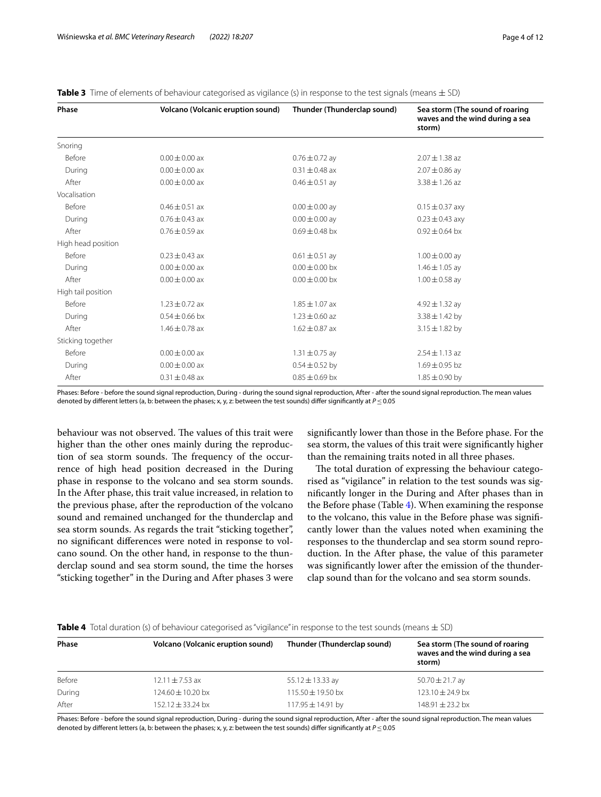| Phase              | <b>Volcano (Volcanic eruption sound)</b> | Thunder (Thunderclap sound) | Sea storm (The sound of roaring<br>waves and the wind during a sea<br>storm) |  |
|--------------------|------------------------------------------|-----------------------------|------------------------------------------------------------------------------|--|
| Snoring            |                                          |                             |                                                                              |  |
| <b>Before</b>      | $0.00 \pm 0.00$ ax                       | $0.76 \pm 0.72$ ay          | $2.07 \pm 1.38$ az                                                           |  |
| During             | $0.00 \pm 0.00$ ax                       | $0.31 \pm 0.48$ ax          | $2.07 \pm 0.86$ ay                                                           |  |
| After              | $0.00 \pm 0.00$ ax                       | $0.46 \pm 0.51$ ay          | $3.38 \pm 1.26$ az                                                           |  |
| Vocalisation       |                                          |                             |                                                                              |  |
| Before             | $0.46 \pm 0.51$ ax                       | $0.00 \pm 0.00$ ay          | $0.15 \pm 0.37$ axy                                                          |  |
| During             | $0.76 \pm 0.43$ ax                       | $0.00 \pm 0.00$ ay          | $0.23 \pm 0.43$ axy                                                          |  |
| After              | $0.76 + 0.59$ ax                         | $0.69 + 0.48$ bx            | $0.92 + 0.64$ bx                                                             |  |
| High head position |                                          |                             |                                                                              |  |
| <b>Before</b>      | $0.23 + 0.43$ ax                         | $0.61 \pm 0.51$ ay          | $1.00 \pm 0.00$ ay                                                           |  |
| During             | $0.00 \pm 0.00$ ax                       | $0.00 + 0.00$ bx            | $1.46 \pm 1.05$ ay                                                           |  |
| After              | $0.00 \pm 0.00$ ax                       | $0.00 \pm 0.00$ bx          | $1.00 \pm 0.58$ ay                                                           |  |
| High tail position |                                          |                             |                                                                              |  |
| <b>Before</b>      | $1.23 \pm 0.72$ ax                       | $1.85 \pm 1.07$ ax          | $4.92 \pm 1.32$ ay                                                           |  |
| During             | $0.54 \pm 0.66$ bx                       | $1.23 \pm 0.60$ az          | $3.38 \pm 1.42$ by                                                           |  |
| After              | $1.46 \pm 0.78$ ax                       | $1.62 \pm 0.87$ ax          | $3.15 \pm 1.82$ by                                                           |  |
| Sticking together  |                                          |                             |                                                                              |  |
| <b>Before</b>      | $0.00 + 0.00$ ax                         | $1.31 \pm 0.75$ ay          | $2.54 \pm 1.13$ az                                                           |  |
| During             | $0.00 \pm 0.00$ ax                       | $0.54 \pm 0.52$ by          | $1.69 \pm 0.95$ bz                                                           |  |
| After              | $0.31 \pm 0.48$ ax                       | $0.85 \pm 0.69$ bx          | $1.85 \pm 0.90$ by                                                           |  |

<span id="page-3-0"></span>**Table 3** Time of elements of behaviour categorised as vigilance (s) in response to the test signals (means ± SD)

Phases: Before - before the sound signal reproduction, During - during the sound signal reproduction, After - after the sound signal reproduction. The mean values denoted by diferent letters (a, b: between the phases; x, y, z: between the test sounds) difer signifcantly at *P*≤0.05

behaviour was not observed. The values of this trait were higher than the other ones mainly during the reproduction of sea storm sounds. The frequency of the occurrence of high head position decreased in the During phase in response to the volcano and sea storm sounds. In the After phase, this trait value increased, in relation to the previous phase, after the reproduction of the volcano sound and remained unchanged for the thunderclap and sea storm sounds. As regards the trait "sticking together", no signifcant diferences were noted in response to volcano sound. On the other hand, in response to the thunderclap sound and sea storm sound, the time the horses "sticking together" in the During and After phases 3 were signifcantly lower than those in the Before phase. For the sea storm, the values of this trait were signifcantly higher than the remaining traits noted in all three phases.

The total duration of expressing the behaviour categorised as "vigilance" in relation to the test sounds was signifcantly longer in the During and After phases than in the Before phase (Table [4](#page-3-1)). When examining the response to the volcano, this value in the Before phase was signifcantly lower than the values noted when examining the responses to the thunderclap and sea storm sound reproduction. In the After phase, the value of this parameter was signifcantly lower after the emission of the thunderclap sound than for the volcano and sea storm sounds.

<span id="page-3-1"></span>**Table 4** Total duration (s) of behaviour categorised as "vigilance" in response to the test sounds (means ± SD)

| Phase  | Volcano (Volcanic eruption sound) | Thunder (Thunderclap sound) | Sea storm (The sound of roaring           |
|--------|-----------------------------------|-----------------------------|-------------------------------------------|
|        |                                   |                             | waves and the wind during a sea<br>storm) |
| Before | $12.11 \pm 7.53$ ax               | 55.12 $\pm$ 13.33 ay        | 50.70 $\pm$ 21.7 ay                       |
| During | $124.60 \pm 10.20$ bx             | $115.50 \pm 19.50$ bx       | $123.10 \pm 24.9$ bx                      |
| After  | $152.12 + 33.24$ bx               | 117.95 ± 14.91 by           | $148.91 + 23.2$ bx                        |

Phases: Before - before the sound signal reproduction, During - during the sound signal reproduction, After - after the sound signal reproduction. The mean values denoted by diferent letters (a, b: between the phases; x, y, z: between the test sounds) difer signifcantly at *P*≤0.05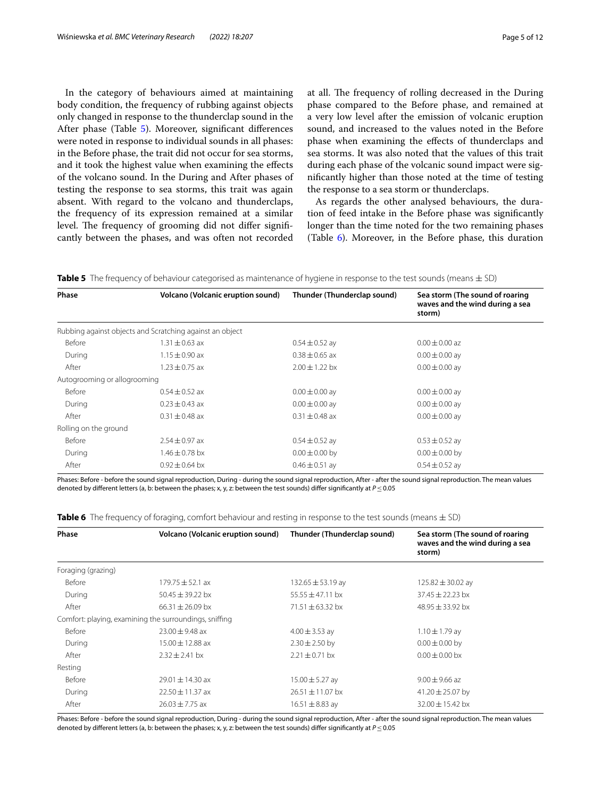In the category of behaviours aimed at maintaining body condition, the frequency of rubbing against objects only changed in response to the thunderclap sound in the After phase (Table [5](#page-4-0)). Moreover, significant differences were noted in response to individual sounds in all phases: in the Before phase, the trait did not occur for sea storms, and it took the highest value when examining the efects of the volcano sound. In the During and After phases of testing the response to sea storms, this trait was again absent. With regard to the volcano and thunderclaps, the frequency of its expression remained at a similar level. The frequency of grooming did not differ significantly between the phases, and was often not recorded at all. The frequency of rolling decreased in the During phase compared to the Before phase, and remained at a very low level after the emission of volcanic eruption sound, and increased to the values noted in the Before phase when examining the efects of thunderclaps and sea storms. It was also noted that the values of this trait during each phase of the volcanic sound impact were signifcantly higher than those noted at the time of testing the response to a sea storm or thunderclaps.

As regards the other analysed behaviours, the duration of feed intake in the Before phase was signifcantly longer than the time noted for the two remaining phases (Table [6](#page-4-1)). Moreover, in the Before phase, this duration

<span id="page-4-0"></span>

| Table 5 The frequency of behaviour categorised as maintenance of hygiene in response to the test sounds (means $\pm$ SD) |  |
|--------------------------------------------------------------------------------------------------------------------------|--|
|--------------------------------------------------------------------------------------------------------------------------|--|

| Phase                        | <b>Volcano (Volcanic eruption sound)</b>                 | Thunder (Thunderclap sound) | Sea storm (The sound of roaring<br>waves and the wind during a sea<br>storm) |  |
|------------------------------|----------------------------------------------------------|-----------------------------|------------------------------------------------------------------------------|--|
|                              | Rubbing against objects and Scratching against an object |                             |                                                                              |  |
| Before                       | $1.31 \pm 0.63$ ax                                       | $0.54 \pm 0.52$ ay          | $0.00 \pm 0.00$ az                                                           |  |
| During                       | $1.15 \pm 0.90$ ax                                       | $0.38 \pm 0.65$ ax          | $0.00 \pm 0.00$ ay                                                           |  |
| After                        | $1.23 \pm 0.75$ ax                                       | $2.00 \pm 1.22$ bx          | $0.00 \pm 0.00$ ay                                                           |  |
| Autogrooming or allogrooming |                                                          |                             |                                                                              |  |
| Before                       | $0.54 \pm 0.52$ ax                                       | $0.00 \pm 0.00$ ay          | $0.00 \pm 0.00$ ay                                                           |  |
| During                       | $0.23 \pm 0.43$ ax                                       | $0.00 \pm 0.00$ ay          | $0.00 \pm 0.00$ ay                                                           |  |
| After                        | $0.31 \pm 0.48$ ax                                       | $0.31 \pm 0.48$ ax          | $0.00 \pm 0.00$ ay                                                           |  |
| Rolling on the ground        |                                                          |                             |                                                                              |  |
| Before                       | $2.54 \pm 0.97$ ax                                       | $0.54 \pm 0.52$ ay          | $0.53 \pm 0.52$ ay                                                           |  |
| During                       | $1.46 \pm 0.78$ bx                                       | $0.00 \pm 0.00$ by          | $0.00 \pm 0.00$ by                                                           |  |
| After                        | $0.92 \pm 0.64$ bx                                       | $0.46 \pm 0.51$ ay          | $0.54 \pm 0.52$ ay                                                           |  |

Phases: Before - before the sound signal reproduction, During - during the sound signal reproduction, After - after the sound signal reproduction. The mean values denoted by diferent letters (a, b: between the phases; x, y, z: between the test sounds) difer signifcantly at *P*≤0.05

<span id="page-4-1"></span>

|  | Table 6 The frequency of foraging, comfort behaviour and resting in response to the test sounds (means $\pm$ SD) |  |  |  |  |  |  |  |  |  |  |
|--|------------------------------------------------------------------------------------------------------------------|--|--|--|--|--|--|--|--|--|--|
|--|------------------------------------------------------------------------------------------------------------------|--|--|--|--|--|--|--|--|--|--|

| Phase              | <b>Volcano (Volcanic eruption sound)</b>               | Thunder (Thunderclap sound) | Sea storm (The sound of roaring<br>waves and the wind during a sea<br>storm) |  |
|--------------------|--------------------------------------------------------|-----------------------------|------------------------------------------------------------------------------|--|
| Foraging (grazing) |                                                        |                             |                                                                              |  |
| Before             | $179.75 \pm 52.1$ ax                                   | 132.65 $\pm$ 53.19 av       | $125.82 \pm 30.02$ av                                                        |  |
| During             | $50.45 \pm 39.22$ bx                                   | $55.55 \pm 47.11$ bx        | $37.45 \pm 22.23$ bx                                                         |  |
| After              | $66.31 + 26.09$ bx                                     | 71.51 $\pm$ 63.32 bx        | 48.95 $\pm$ 33.92 bx                                                         |  |
|                    | Comfort: playing, examining the surroundings, sniffing |                             |                                                                              |  |
| Before             | $23.00 \pm 9.48$ ax                                    | $4.00 \pm 3.53$ ay          | $1.10 \pm 1.79$ ay                                                           |  |
| During             | $15.00 \pm 12.88$ ax                                   | $2.30 \pm 2.50$ by          | $0.00 \pm 0.00$ by                                                           |  |
| After              | $2.32 \pm 2.41$ bx                                     | $2.21 \pm 0.71$ bx          | $0.00 \pm 0.00$ bx                                                           |  |
| Resting            |                                                        |                             |                                                                              |  |
| Before             | $29.01 + 14.30$ ax                                     | $15.00 \pm 5.27$ ay         | $9.00 + 9.66$ az                                                             |  |
| During             | $22.50 \pm 11.37$ ax                                   | $26.51 \pm 11.07$ bx        | 41.20 $\pm$ 25.07 by                                                         |  |
| After              | $26.03 + 7.75$ ax                                      | $16.51 \pm 8.83$ ay         | $32.00 \pm 15.42$ bx                                                         |  |

Phases: Before - before the sound signal reproduction, During - during the sound signal reproduction, After - after the sound signal reproduction. The mean values denoted by diferent letters (a, b: between the phases; x, y, z: between the test sounds) difer signifcantly at *P*≤0.05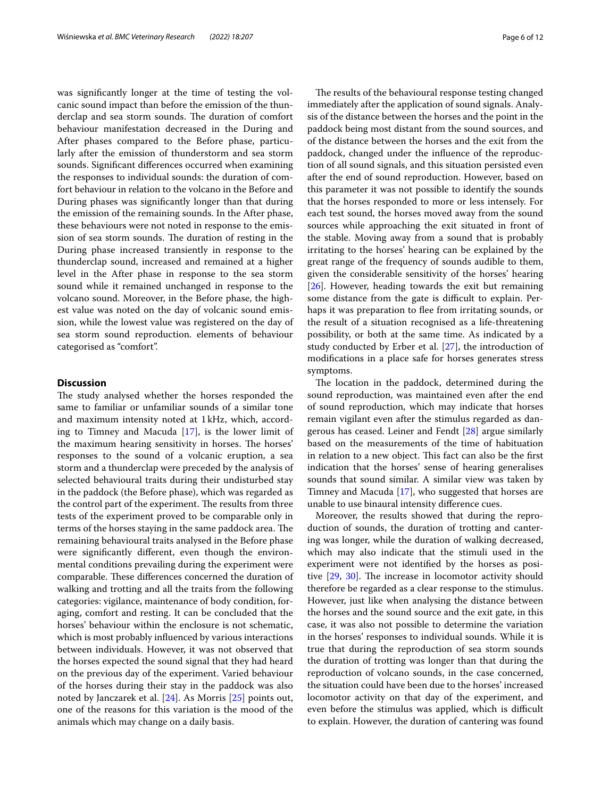was signifcantly longer at the time of testing the volcanic sound impact than before the emission of the thunderclap and sea storm sounds. The duration of comfort behaviour manifestation decreased in the During and After phases compared to the Before phase, particularly after the emission of thunderstorm and sea storm sounds. Signifcant diferences occurred when examining the responses to individual sounds: the duration of comfort behaviour in relation to the volcano in the Before and During phases was signifcantly longer than that during the emission of the remaining sounds. In the After phase, these behaviours were not noted in response to the emission of sea storm sounds. The duration of resting in the During phase increased transiently in response to the thunderclap sound, increased and remained at a higher level in the After phase in response to the sea storm sound while it remained unchanged in response to the volcano sound. Moreover, in the Before phase, the highest value was noted on the day of volcanic sound emission, while the lowest value was registered on the day of sea storm sound reproduction. elements of behaviour categorised as "comfort".

# **Discussion**

The study analysed whether the horses responded the same to familiar or unfamiliar sounds of a similar tone and maximum intensity noted at 1kHz, which, according to Timney and Macuda [\[17](#page-10-15)], is the lower limit of the maximum hearing sensitivity in horses. The horses' responses to the sound of a volcanic eruption, a sea storm and a thunderclap were preceded by the analysis of selected behavioural traits during their undisturbed stay in the paddock (the Before phase), which was regarded as the control part of the experiment. The results from three tests of the experiment proved to be comparable only in terms of the horses staying in the same paddock area. The remaining behavioural traits analysed in the Before phase were signifcantly diferent, even though the environmental conditions prevailing during the experiment were comparable. These differences concerned the duration of walking and trotting and all the traits from the following categories: vigilance, maintenance of body condition, foraging, comfort and resting. It can be concluded that the horses' behaviour within the enclosure is not schematic, which is most probably infuenced by various interactions between individuals. However, it was not observed that the horses expected the sound signal that they had heard on the previous day of the experiment. Varied behaviour of the horses during their stay in the paddock was also noted by Janczarek et al. [[24\]](#page-10-22). As Morris [[25\]](#page-10-23) points out, one of the reasons for this variation is the mood of the animals which may change on a daily basis.

The results of the behavioural response testing changed immediately after the application of sound signals. Analysis of the distance between the horses and the point in the paddock being most distant from the sound sources, and of the distance between the horses and the exit from the paddock, changed under the infuence of the reproduction of all sound signals, and this situation persisted even after the end of sound reproduction. However, based on this parameter it was not possible to identify the sounds that the horses responded to more or less intensely. For each test sound, the horses moved away from the sound sources while approaching the exit situated in front of the stable. Moving away from a sound that is probably irritating to the horses' hearing can be explained by the great range of the frequency of sounds audible to them, given the considerable sensitivity of the horses' hearing [[26\]](#page-10-24). However, heading towards the exit but remaining some distance from the gate is difficult to explain. Perhaps it was preparation to flee from irritating sounds, or the result of a situation recognised as a life-threatening possibility, or both at the same time. As indicated by a study conducted by Erber et al. [\[27\]](#page-10-25), the introduction of modifcations in a place safe for horses generates stress symptoms.

The location in the paddock, determined during the sound reproduction, was maintained even after the end of sound reproduction, which may indicate that horses remain vigilant even after the stimulus regarded as dangerous has ceased. Leiner and Fendt [[28](#page-10-26)] argue similarly based on the measurements of the time of habituation in relation to a new object. This fact can also be the first indication that the horses' sense of hearing generalises sounds that sound similar. A similar view was taken by Timney and Macuda [\[17](#page-10-15)], who suggested that horses are unable to use binaural intensity diference cues.

Moreover, the results showed that during the reproduction of sounds, the duration of trotting and cantering was longer, while the duration of walking decreased, which may also indicate that the stimuli used in the experiment were not identifed by the horses as positive  $[29, 30]$  $[29, 30]$  $[29, 30]$  $[29, 30]$ . The increase in locomotor activity should therefore be regarded as a clear response to the stimulus. However, just like when analysing the distance between the horses and the sound source and the exit gate, in this case, it was also not possible to determine the variation in the horses' responses to individual sounds. While it is true that during the reproduction of sea storm sounds the duration of trotting was longer than that during the reproduction of volcano sounds, in the case concerned, the situation could have been due to the horses' increased locomotor activity on that day of the experiment, and even before the stimulus was applied, which is difficult to explain. However, the duration of cantering was found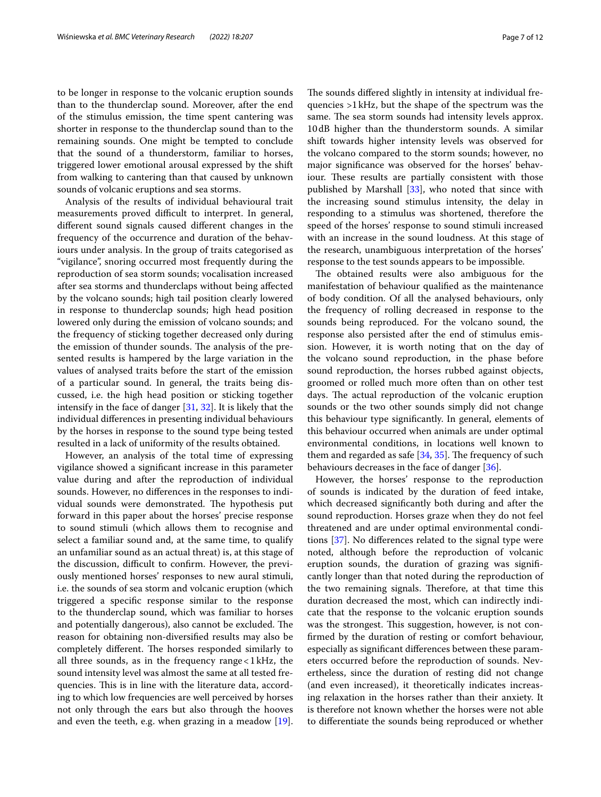to be longer in response to the volcanic eruption sounds than to the thunderclap sound. Moreover, after the end of the stimulus emission, the time spent cantering was shorter in response to the thunderclap sound than to the remaining sounds. One might be tempted to conclude that the sound of a thunderstorm, familiar to horses, triggered lower emotional arousal expressed by the shift from walking to cantering than that caused by unknown sounds of volcanic eruptions and sea storms.

Analysis of the results of individual behavioural trait measurements proved difficult to interpret. In general, diferent sound signals caused diferent changes in the frequency of the occurrence and duration of the behaviours under analysis. In the group of traits categorised as "vigilance", snoring occurred most frequently during the reproduction of sea storm sounds; vocalisation increased after sea storms and thunderclaps without being afected by the volcano sounds; high tail position clearly lowered in response to thunderclap sounds; high head position lowered only during the emission of volcano sounds; and the frequency of sticking together decreased only during the emission of thunder sounds. The analysis of the presented results is hampered by the large variation in the values of analysed traits before the start of the emission of a particular sound. In general, the traits being discussed, i.e. the high head position or sticking together intensify in the face of danger [\[31](#page-10-29), [32\]](#page-10-30). It is likely that the individual diferences in presenting individual behaviours by the horses in response to the sound type being tested resulted in a lack of uniformity of the results obtained.

However, an analysis of the total time of expressing vigilance showed a signifcant increase in this parameter value during and after the reproduction of individual sounds. However, no diferences in the responses to individual sounds were demonstrated. The hypothesis put forward in this paper about the horses' precise response to sound stimuli (which allows them to recognise and select a familiar sound and, at the same time, to qualify an unfamiliar sound as an actual threat) is, at this stage of the discussion, difficult to confirm. However, the previously mentioned horses' responses to new aural stimuli, i.e. the sounds of sea storm and volcanic eruption (which triggered a specifc response similar to the response to the thunderclap sound, which was familiar to horses and potentially dangerous), also cannot be excluded. The reason for obtaining non-diversifed results may also be completely different. The horses responded similarly to all three sounds, as in the frequency range  $<1$  kHz, the sound intensity level was almost the same at all tested frequencies. This is in line with the literature data, according to which low frequencies are well perceived by horses not only through the ears but also through the hooves and even the teeth, e.g. when grazing in a meadow [\[19](#page-10-17)].

The sounds differed slightly in intensity at individual frequencies >1kHz, but the shape of the spectrum was the same. The sea storm sounds had intensity levels approx. 10dB higher than the thunderstorm sounds. A similar shift towards higher intensity levels was observed for the volcano compared to the storm sounds; however, no major signifcance was observed for the horses' behaviour. These results are partially consistent with those published by Marshall [\[33\]](#page-10-31), who noted that since with the increasing sound stimulus intensity, the delay in responding to a stimulus was shortened, therefore the speed of the horses' response to sound stimuli increased with an increase in the sound loudness. At this stage of the research, unambiguous interpretation of the horses' response to the test sounds appears to be impossible.

The obtained results were also ambiguous for the manifestation of behaviour qualifed as the maintenance of body condition. Of all the analysed behaviours, only the frequency of rolling decreased in response to the sounds being reproduced. For the volcano sound, the response also persisted after the end of stimulus emission. However, it is worth noting that on the day of the volcano sound reproduction, in the phase before sound reproduction, the horses rubbed against objects, groomed or rolled much more often than on other test days. The actual reproduction of the volcanic eruption sounds or the two other sounds simply did not change this behaviour type signifcantly. In general, elements of this behaviour occurred when animals are under optimal environmental conditions, in locations well known to them and regarded as safe  $[34, 35]$  $[34, 35]$  $[34, 35]$ . The frequency of such behaviours decreases in the face of danger [[36\]](#page-10-34).

However, the horses' response to the reproduction of sounds is indicated by the duration of feed intake, which decreased signifcantly both during and after the sound reproduction. Horses graze when they do not feel threatened and are under optimal environmental conditions [\[37](#page-11-0)]. No diferences related to the signal type were noted, although before the reproduction of volcanic eruption sounds, the duration of grazing was signifcantly longer than that noted during the reproduction of the two remaining signals. Therefore, at that time this duration decreased the most, which can indirectly indicate that the response to the volcanic eruption sounds was the strongest. This suggestion, however, is not confrmed by the duration of resting or comfort behaviour, especially as signifcant diferences between these parameters occurred before the reproduction of sounds. Nevertheless, since the duration of resting did not change (and even increased), it theoretically indicates increasing relaxation in the horses rather than their anxiety. It is therefore not known whether the horses were not able to diferentiate the sounds being reproduced or whether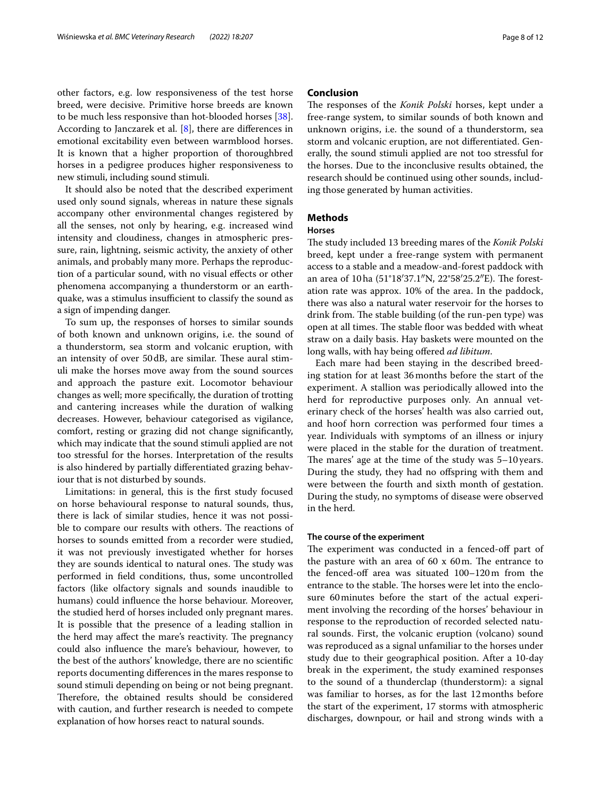other factors, e.g. low responsiveness of the test horse breed, were decisive. Primitive horse breeds are known to be much less responsive than hot-blooded horses [\[38](#page-11-1)]. According to Janczarek et al. [\[8\]](#page-10-6), there are diferences in emotional excitability even between warmblood horses. It is known that a higher proportion of thoroughbred horses in a pedigree produces higher responsiveness to new stimuli, including sound stimuli.

It should also be noted that the described experiment used only sound signals, whereas in nature these signals accompany other environmental changes registered by all the senses, not only by hearing, e.g. increased wind intensity and cloudiness, changes in atmospheric pressure, rain, lightning, seismic activity, the anxiety of other animals, and probably many more. Perhaps the reproduction of a particular sound, with no visual efects or other phenomena accompanying a thunderstorm or an earthquake, was a stimulus insufficient to classify the sound as a sign of impending danger.

To sum up, the responses of horses to similar sounds of both known and unknown origins, i.e. the sound of a thunderstorm, sea storm and volcanic eruption, with an intensity of over 50dB, are similar. These aural stimuli make the horses move away from the sound sources and approach the pasture exit. Locomotor behaviour changes as well; more specifcally, the duration of trotting and cantering increases while the duration of walking decreases. However, behaviour categorised as vigilance, comfort, resting or grazing did not change signifcantly, which may indicate that the sound stimuli applied are not too stressful for the horses. Interpretation of the results is also hindered by partially diferentiated grazing behaviour that is not disturbed by sounds.

Limitations: in general, this is the frst study focused on horse behavioural response to natural sounds, thus, there is lack of similar studies, hence it was not possible to compare our results with others. The reactions of horses to sounds emitted from a recorder were studied, it was not previously investigated whether for horses they are sounds identical to natural ones. The study was performed in feld conditions, thus, some uncontrolled factors (like olfactory signals and sounds inaudible to humans) could infuence the horse behaviour. Moreover, the studied herd of horses included only pregnant mares. It is possible that the presence of a leading stallion in the herd may affect the mare's reactivity. The pregnancy could also infuence the mare's behaviour, however, to the best of the authors' knowledge, there are no scientifc reports documenting diferences in the mares response to sound stimuli depending on being or not being pregnant. Therefore, the obtained results should be considered with caution, and further research is needed to compete explanation of how horses react to natural sounds.

## **Conclusion**

The responses of the *Konik Polski* horses, kept under a free-range system, to similar sounds of both known and unknown origins, i.e. the sound of a thunderstorm, sea storm and volcanic eruption, are not diferentiated. Generally, the sound stimuli applied are not too stressful for the horses. Due to the inconclusive results obtained, the research should be continued using other sounds, including those generated by human activities.

# **Methods**

# **Horses**

The study included 13 breeding mares of the *Konik Polski* breed, kept under a free-range system with permanent access to a stable and a meadow-and-forest paddock with an area of 10 ha (51°18′37.1″N, 22°58′25.2″E). The forestation rate was approx. 10% of the area. In the paddock, there was also a natural water reservoir for the horses to drink from. The stable building (of the run-pen type) was open at all times. The stable floor was bedded with wheat straw on a daily basis. Hay baskets were mounted on the long walls, with hay being ofered *ad libitum*.

Each mare had been staying in the described breeding station for at least 36months before the start of the experiment. A stallion was periodically allowed into the herd for reproductive purposes only. An annual veterinary check of the horses' health was also carried out, and hoof horn correction was performed four times a year. Individuals with symptoms of an illness or injury were placed in the stable for the duration of treatment. The mares' age at the time of the study was  $5-10$  years. During the study, they had no ofspring with them and were between the fourth and sixth month of gestation. During the study, no symptoms of disease were observed in the herd.

# **The course of the experiment**

The experiment was conducted in a fenced-off part of the pasture with an area of  $60 \times 60$ m. The entrance to the fenced-off area was situated  $100-120$  m from the entrance to the stable. The horses were let into the enclosure 60minutes before the start of the actual experiment involving the recording of the horses' behaviour in response to the reproduction of recorded selected natural sounds. First, the volcanic eruption (volcano) sound was reproduced as a signal unfamiliar to the horses under study due to their geographical position. After a 10-day break in the experiment, the study examined responses to the sound of a thunderclap (thunderstorm): a signal was familiar to horses, as for the last 12months before the start of the experiment, 17 storms with atmospheric discharges, downpour, or hail and strong winds with a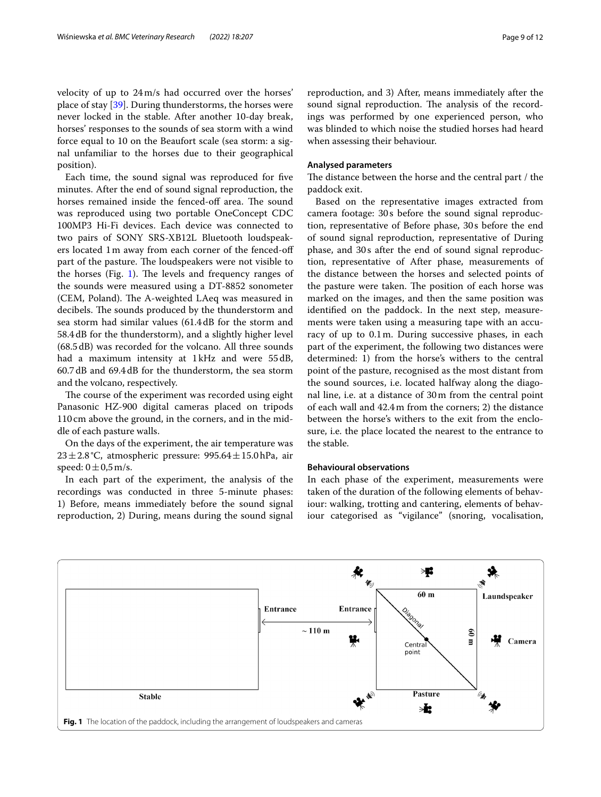velocity of up to 24m/s had occurred over the horses' place of stay [\[39\]](#page-11-2). During thunderstorms, the horses were never locked in the stable. After another 10-day break, horses' responses to the sounds of sea storm with a wind force equal to 10 on the Beaufort scale (sea storm: a signal unfamiliar to the horses due to their geographical position).

Each time, the sound signal was reproduced for fve minutes. After the end of sound signal reproduction, the horses remained inside the fenced-off area. The sound was reproduced using two portable OneConcept CDC 100MP3 Hi-Fi devices. Each device was connected to two pairs of SONY SRS-XB12L Bluetooth loudspeakers located 1m away from each corner of the fenced-of part of the pasture. The loudspeakers were not visible to the horses (Fig.  $1$ ). The levels and frequency ranges of the sounds were measured using a DT-8852 sonometer (CEM, Poland). The A-weighted LAeq was measured in decibels. The sounds produced by the thunderstorm and sea storm had similar values (61.4dB for the storm and 58.4dB for the thunderstorm), and a slightly higher level (68.5dB) was recorded for the volcano. All three sounds had a maximum intensity at 1kHz and were 55dB, 60.7dB and 69.4dB for the thunderstorm, the sea storm and the volcano, respectively.

The course of the experiment was recorded using eight Panasonic HZ-900 digital cameras placed on tripods 110cm above the ground, in the corners, and in the middle of each pasture walls.

On the days of the experiment, the air temperature was 23±2.8°C, atmospheric pressure: 995.64±15.0hPa, air speed:  $0 \pm 0.5$  m/s.

In each part of the experiment, the analysis of the recordings was conducted in three 5-minute phases: 1) Before, means immediately before the sound signal reproduction, 2) During, means during the sound signal reproduction, and 3) After, means immediately after the sound signal reproduction. The analysis of the recordings was performed by one experienced person, who was blinded to which noise the studied horses had heard when assessing their behaviour.

#### **Analysed parameters**

The distance between the horse and the central part / the paddock exit.

Based on the representative images extracted from camera footage: 30s before the sound signal reproduction, representative of Before phase, 30s before the end of sound signal reproduction, representative of During phase, and 30s after the end of sound signal reproduction, representative of After phase, measurements of the distance between the horses and selected points of the pasture were taken. The position of each horse was marked on the images, and then the same position was identifed on the paddock. In the next step, measurements were taken using a measuring tape with an accuracy of up to 0.1m. During successive phases, in each part of the experiment, the following two distances were determined: 1) from the horse's withers to the central point of the pasture, recognised as the most distant from the sound sources, i.e. located halfway along the diagonal line, i.e. at a distance of 30m from the central point of each wall and 42.4m from the corners; 2) the distance between the horse's withers to the exit from the enclosure, i.e. the place located the nearest to the entrance to the stable.

## **Behavioural observations**

In each phase of the experiment, measurements were taken of the duration of the following elements of behaviour: walking, trotting and cantering, elements of behaviour categorised as "vigilance" (snoring, vocalisation,

<span id="page-8-0"></span>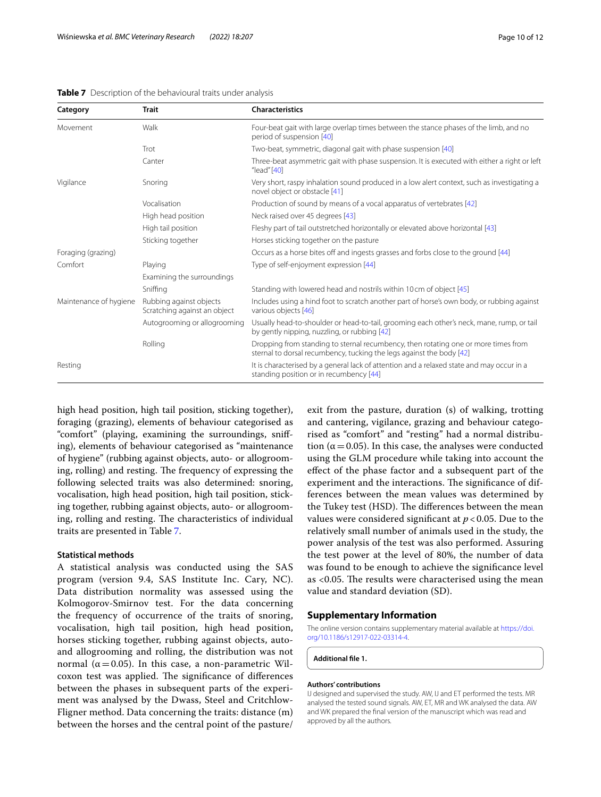| Category               | <b>Trait</b>                                            | <b>Characteristics</b>                                                                                                                                     |
|------------------------|---------------------------------------------------------|------------------------------------------------------------------------------------------------------------------------------------------------------------|
| Movement               | Walk                                                    | Four-beat gait with large overlap times between the stance phases of the limb, and no<br>period of suspension [40]                                         |
|                        | Trot                                                    | Two-beat, symmetric, diagonal gait with phase suspension [40]                                                                                              |
|                        | Canter                                                  | Three-beat asymmetric gait with phase suspension. It is executed with either a right or left<br>" $lead$ " $[40]$                                          |
| Vigilance              | Snoring                                                 | Very short, raspy inhalation sound produced in a low alert context, such as investigating a<br>novel object or obstacle [41]                               |
|                        | Vocalisation                                            | Production of sound by means of a vocal apparatus of vertebrates [42]                                                                                      |
|                        | High head position                                      | Neck raised over 45 degrees [43]                                                                                                                           |
|                        | High tail position                                      | Fleshy part of tail outstretched horizontally or elevated above horizontal [43]                                                                            |
|                        | Sticking together                                       | Horses sticking together on the pasture                                                                                                                    |
| Foraging (grazing)     |                                                         | Occurs as a horse bites off and ingests grasses and forbs close to the ground [44]                                                                         |
| Comfort                | Playing                                                 | Type of self-enjoyment expression [44]                                                                                                                     |
|                        | Examining the surroundings                              |                                                                                                                                                            |
|                        | Sniffing                                                | Standing with lowered head and nostrils within 10 cm of object [45]                                                                                        |
| Maintenance of hygiene | Rubbing against objects<br>Scratching against an object | Includes using a hind foot to scratch another part of horse's own body, or rubbing against<br>various objects [46]                                         |
|                        | Autogrooming or allogrooming                            | Usually head-to-shoulder or head-to-tail, grooming each other's neck, mane, rump, or tail<br>by gently nipping, nuzzling, or rubbing [42]                  |
|                        | Rolling                                                 | Dropping from standing to sternal recumbency, then rotating one or more times from<br>sternal to dorsal recumbency, tucking the legs against the body [42] |
| Resting                |                                                         | It is characterised by a general lack of attention and a relaxed state and may occur in a<br>standing position or in recumbency [44]                       |

<span id="page-9-0"></span>**Table 7** Description of the behavioural traits under analysis

high head position, high tail position, sticking together), foraging (grazing), elements of behaviour categorised as "comfort" (playing, examining the surroundings, snifing), elements of behaviour categorised as "maintenance of hygiene" (rubbing against objects, auto- or allogrooming, rolling) and resting. The frequency of expressing the following selected traits was also determined: snoring, vocalisation, high head position, high tail position, sticking together, rubbing against objects, auto- or allogrooming, rolling and resting. The characteristics of individual traits are presented in Table [7.](#page-9-0)

# **Statistical methods**

A statistical analysis was conducted using the SAS program (version 9.4, SAS Institute Inc. Cary, NC). Data distribution normality was assessed using the Kolmogorov-Smirnov test. For the data concerning the frequency of occurrence of the traits of snoring, vocalisation, high tail position, high head position, horses sticking together, rubbing against objects, autoand allogrooming and rolling, the distribution was not normal ( $α = 0.05$ ). In this case, a non-parametric Wilcoxon test was applied. The significance of differences between the phases in subsequent parts of the experiment was analysed by the Dwass, Steel and Critchlow-Fligner method. Data concerning the traits: distance (m) between the horses and the central point of the pasture/ exit from the pasture, duration (s) of walking, trotting and cantering, vigilance, grazing and behaviour categorised as "comfort" and "resting" had a normal distribution ( $\alpha$  = 0.05). In this case, the analyses were conducted using the GLM procedure while taking into account the efect of the phase factor and a subsequent part of the experiment and the interactions. The significance of differences between the mean values was determined by the Tukey test (HSD). The differences between the mean values were considered signifcant at *p* < 0.05. Due to the relatively small number of animals used in the study, the power analysis of the test was also performed. Assuring the test power at the level of 80%, the number of data was found to be enough to achieve the signifcance level as  $<$ 0.05. The results were characterised using the mean value and standard deviation (SD).

#### **Supplementary Information**

The online version contains supplementary material available at [https://doi.](https://doi.org/10.1186/s12917-022-03314-4) [org/10.1186/s12917-022-03314-4](https://doi.org/10.1186/s12917-022-03314-4).

**Additional fle 1.**

#### **Authors' contributions**

IJ designed and supervised the study. AW, IJ and ET performed the tests. MR analysed the tested sound signals. AW, ET, MR and WK analysed the data. AW and WK prepared the fnal version of the manuscript which was read and approved by all the authors.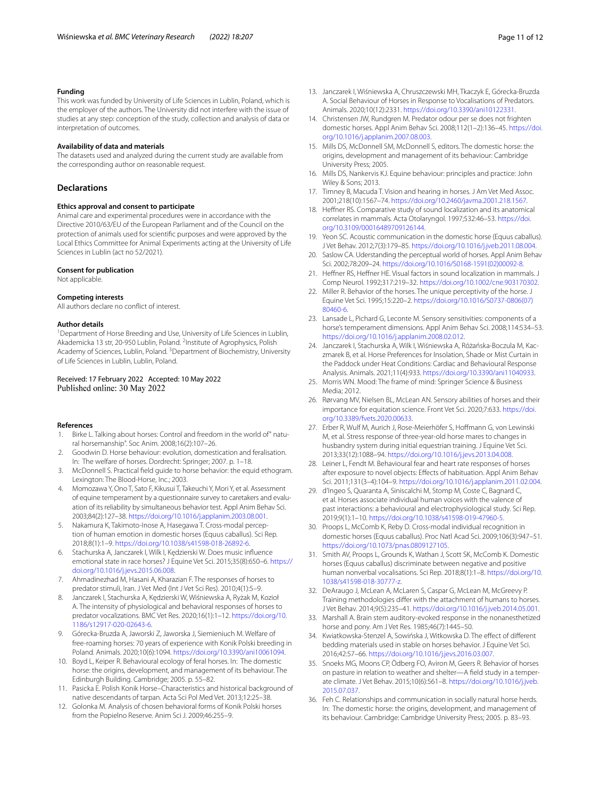#### **Funding**

This work was funded by University of Life Sciences in Lublin, Poland, which is the employer of the authors. The University did not interfere with the issue of studies at any step: conception of the study, collection and analysis of data or interpretation of outcomes.

#### **Availability of data and materials**

The datasets used and analyzed during the current study are available from the corresponding author on reasonable request.

#### **Declarations**

#### **Ethics approval and consent to participate**

Animal care and experimental procedures were in accordance with the Directive 2010/63/EU of the European Parliament and of the Council on the protection of animals used for scientifc purposes and were approved by the Local Ethics Committee for Animal Experiments acting at the University of Life Sciences in Lublin (act no 52/2021).

#### **Consent for publication**

Not applicable.

### **Competing interests**

All authors declare no confict of interest.

#### **Author details**

<sup>1</sup> Department of Horse Breeding and Use, University of Life Sciences in Lublin, Akademicka 13 str, 20-950 Lublin, Poland. <sup>2</sup>Institute of Agrophysics, Polish Academy of Sciences, Lublin, Poland. <sup>3</sup> Department of Biochemistry, University of Life Sciences in Lublin, Lublin, Poland.

#### Received: 17 February 2022 Accepted: 10 May 2022 Published online: 30 May 2022

#### **References**

- <span id="page-10-0"></span>1. Birke L. Talking about horses: Control and freedom in the world of" natural horsemanship". Soc Anim. 2008;16(2):107–26.
- <span id="page-10-1"></span>2. Goodwin D. Horse behaviour: evolution, domestication and feralisation. In: The welfare of horses. Dordrecht: Springer; 2007. p. 1–18.
- <span id="page-10-2"></span>3. McDonnell S. Practical feld guide to horse behavior: the equid ethogram. Lexington: The Blood-Horse, Inc.; 2003.
- <span id="page-10-3"></span>4. Momozawa Y, Ono T, Sato F, Kikusui T, Takeuchi Y, Mori Y, et al. Assessment of equine temperament by a questionnaire survey to caretakers and evaluation of its reliability by simultaneous behavior test. Appl Anim Behav Sci. 2003;84(2):127–38. [https://doi.org/10.1016/j.applanim.2003.08.001.](https://doi.org/10.1016/j.applanim.2003.08.001)
- <span id="page-10-4"></span>5. Nakamura K, Takimoto-Inose A, Hasegawa T. Cross-modal perception of human emotion in domestic horses (Equus caballus). Sci Rep. 2018;8(1):1–9. [https://doi.org/10.1038/s41598-018-26892-6.](https://doi.org/10.1038/s41598-018-26892-6)
- 6. Stachurska A, Janczarek I, Wilk I, Kędzierski W. Does music infuence emotional state in race horses? J Equine Vet Sci. 2015;35(8):650–6. [https://](https://doi.org/10.1016/j.jevs.2015.06.008) [doi.org/10.1016/j.jevs.2015.06.008](https://doi.org/10.1016/j.jevs.2015.06.008).
- <span id="page-10-5"></span>7. Ahmadinezhad M, Hasani A, Kharazian F. The responses of horses to predator stimuli, Iran. J Vet Med (Int J Vet Sci Res). 2010;4(1):5–9.
- <span id="page-10-6"></span>8. Janczarek I, Stachurska A, Kędzierski W, Wiśniewska A, Ryżak M, Kozioł A. The intensity of physiological and behavioral responses of horses to predator vocalizations. BMC Vet Res. 2020;16(1):1–12. [https://doi.org/10.](https://doi.org/10.1186/s12917-020-02643-6) [1186/s12917-020-02643-6.](https://doi.org/10.1186/s12917-020-02643-6)
- <span id="page-10-7"></span>9. Górecka-Bruzda A, Jaworski Z, Jaworska J, Siemieniuch M. Welfare of free-roaming horses: 70 years of experience with Konik Polski breeding in Poland. Animals. 2020;10(6):1094. [https://doi.org/10.3390/ani10061094.](https://doi.org/10.3390/ani10061094)
- <span id="page-10-8"></span>10. Boyd L, Keiper R. Behavioural ecology of feral horses. In: The domestic horse: the origins, development, and management of its behaviour. The Edinburgh Building. Cambridge; 2005. p. 55–82.
- <span id="page-10-9"></span>11. Pasicka E. Polish Konik Horse–Characteristics and historical background of native descendants of tarpan. Acta Sci Pol Med Vet. 2013;12:25–38.
- <span id="page-10-10"></span>12. Golonka M. Analysis of chosen behavioral forms of Konik Polski horses from the Popielno Reserve. Anim Sci J. 2009;46:255–9.
- <span id="page-10-11"></span>13. Janczarek I, Wiśniewska A, Chruszczewski MH, Tkaczyk E, Górecka-Bruzda A. Social Behaviour of Horses in Response to Vocalisations of Predators. Animals. 2020;10(12):2331. <https://doi.org/10.3390/ani10122331>.
- <span id="page-10-12"></span>14. Christensen JW, Rundgren M. Predator odour per se does not frighten domestic horses. Appl Anim Behav Sci. 2008;112(1–2):136–45. [https://doi.](https://doi.org/10.1016/j.applanim.2007.08.003) [org/10.1016/j.applanim.2007.08.003.](https://doi.org/10.1016/j.applanim.2007.08.003)
- <span id="page-10-13"></span>15. Mills DS, McDonnell SM, McDonnell S, editors. The domestic horse: the origins, development and management of its behaviour: Cambridge University Press; 2005.
- <span id="page-10-14"></span>16. Mills DS, Nankervis KJ. Equine behaviour: principles and practice: John Wiley & Sons; 2013.
- <span id="page-10-15"></span>17. Timney B, Macuda T. Vision and hearing in horses. J Am Vet Med Assoc. 2001;218(10):1567–74. [https://doi.org/10.2460/javma.2001.218.1567.](https://doi.org/10.2460/javma.2001.218.1567)
- <span id="page-10-16"></span>18. Hefner RS. Comparative study of sound localization and its anatomical correlates in mammals. Acta Otolaryngol. 1997;532:46–53. [https://doi.](https://doi.org/10.3109/00016489709126144) [org/10.3109/00016489709126144.](https://doi.org/10.3109/00016489709126144)
- <span id="page-10-17"></span>19. Yeon SC. Acoustic communication in the domestic horse (Equus caballus). J Vet Behav. 2012;7(3):179–85. [https://doi.org/10.1016/j.jveb.2011.08.004.](https://doi.org/10.1016/j.jveb.2011.08.004)
- <span id="page-10-18"></span>20. Saslow CA. Uderstanding the perceptual world of horses. Appl Anim Behav Sci. 2002;78:209–24. [https://doi.org/10.1016/S0168-1591\(02\)00092-8](https://doi.org/10.1016/S0168-1591(02)00092-8).
- <span id="page-10-19"></span>21. Heffner RS, Heffner HE. Visual factors in sound localization in mammals. J Comp Neurol. 1992;317:219–32.<https://doi.org/10.1002/cne.903170302>.
- <span id="page-10-20"></span>22. Miller R. Behavior of the horses. The unique perceptivity of the horse. J Equine Vet Sci. 1995;15:220–2. [https://doi.org/10.1016/S0737-0806\(07\)](https://doi.org/10.1016/S0737-0806(07)80460-6) [80460-6.](https://doi.org/10.1016/S0737-0806(07)80460-6)
- <span id="page-10-21"></span>23. Lansade L, Pichard G, Leconte M. Sensory sensitivities: components of a horse's temperament dimensions. Appl Anim Behav Sci. 2008;114:534–53. [https://doi.org/10.1016/j.applanim.2008.02.012.](https://doi.org/10.1016/j.applanim.2008.02.012)
- <span id="page-10-22"></span>24. Janczarek I, Stachurska A, Wilk I, Wiśniewska A, Różańska-Boczula M, Kaczmarek B, et al. Horse Preferences for Insolation, Shade or Mist Curtain in the Paddock under Heat Conditions: Cardiac and Behavioural Response Analysis. Animals. 2021;11(4):933.<https://doi.org/10.3390/ani11040933>.
- <span id="page-10-23"></span>25. Morris WN. Mood: The frame of mind: Springer Science & Business Media; 2012.
- <span id="page-10-24"></span>26. Rørvang MV, Nielsen BL, McLean AN. Sensory abilities of horses and their importance for equitation science. Front Vet Sci. 2020;7:633. [https://doi.](https://doi.org/10.3389/fvets.2020.00633) [org/10.3389/fvets.2020.00633.](https://doi.org/10.3389/fvets.2020.00633)
- <span id="page-10-25"></span>27. Erber R, Wulf M, Aurich J, Rose-Meierhöfer S, Hofmann G, von Lewinski M, et al. Stress response of three-year-old horse mares to changes in husbandry system during initial equestrian training. J Equine Vet Sci. 2013;33(12):1088–94.<https://doi.org/10.1016/j.jevs.2013.04.008>.
- <span id="page-10-26"></span>28. Leiner L, Fendt M. Behavioural fear and heart rate responses of horses after exposure to novel objects: Efects of habituation. Appl Anim Behav Sci. 2011;131(3–4):104–9. [https://doi.org/10.1016/j.applanim.2011.02.004.](https://doi.org/10.1016/j.applanim.2011.02.004)
- <span id="page-10-27"></span>29. d'Ingeo S, Quaranta A, Siniscalchi M, Stomp M, Coste C, Bagnard C, et al. Horses associate individual human voices with the valence of past interactions: a behavioural and electrophysiological study. Sci Rep. 2019;9(1):1–10. [https://doi.org/10.1038/s41598-019-47960-5.](https://doi.org/10.1038/s41598-019-47960-5)
- <span id="page-10-28"></span>30. Proops L, McComb K, Reby D. Cross-modal individual recognition in domestic horses (Equus caballus). Proc Natl Acad Sci. 2009;106(3):947–51. [https://doi.org/10.1073/pnas.0809127105.](https://doi.org/10.1073/pnas.0809127105)
- <span id="page-10-29"></span>31. Smith AV, Proops L, Grounds K, Wathan J, Scott SK, McComb K. Domestic horses (Equus caballus) discriminate between negative and positive human nonverbal vocalisations. Sci Rep. 2018;8(1):1–8. [https://doi.org/10.](https://doi.org/10.1038/s41598-018-30777-z) [1038/s41598-018-30777-z](https://doi.org/10.1038/s41598-018-30777-z).
- <span id="page-10-30"></span>32. DeAraugo J, McLean A, McLaren S, Caspar G, McLean M, McGreevy P. Training methodologies difer with the attachment of humans to horses. J Vet Behav. 2014;9(5):235–41.<https://doi.org/10.1016/j.jveb.2014.05.001>.
- <span id="page-10-31"></span>33. Marshall A. Brain stem auditory-evoked response in the nonanesthetized horse and pony. Am J Vet Res. 1985;46(7):1445–50.
- <span id="page-10-32"></span>34. Kwiatkowska-Stenzel A, Sowińska J, Witkowska D. The effect of different bedding materials used in stable on horses behavior. J Equine Vet Sci. 2016;42:57–66. [https://doi.org/10.1016/j.jevs.2016.03.007.](https://doi.org/10.1016/j.jevs.2016.03.007)
- <span id="page-10-33"></span>35. Snoeks MG, Moons CP, Ödberg FO, Aviron M, Geers R. Behavior of horses on pasture in relation to weather and shelter—A feld study in a temperate climate. J Vet Behav. 2015;10(6):561–8. [https://doi.org/10.1016/j.jveb.](https://doi.org/10.1016/j.jveb.2015.07.037) [2015.07.037](https://doi.org/10.1016/j.jveb.2015.07.037).
- <span id="page-10-34"></span>36. Feh C. Relationships and communication in socially natural horse herds. In: The domestic horse: the origins, development, and management of its behaviour. Cambridge: Cambridge University Press; 2005. p. 83–93.